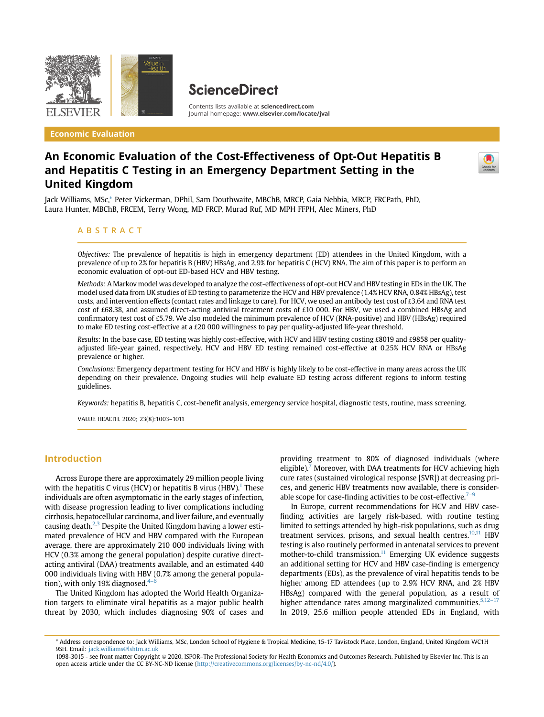

Economic Evaluation

# **ScienceDirect**

Contents lists available at [sciencedirect.com](www.sciencedirect.com) Journal homepage: <www.elsevier.com/locate/jval>

# An Economic Evaluation of the Cost-Effectiveness of Opt-Out Hepatitis B and Hepatitis C Testing in an Emergency Department Setting in the United Kingdom



Jack Williams, MSc,\* Peter Vickerman, DPhil, Sam Douthwaite, MBChB, MRCP, Gaia Nebbia, MRCP, FRCPath, PhD, Laura Hunter, MBChB, FRCEM, Terry Wong, MD FRCP, Murad Ruf, MD MPH FFPH, Alec Miners, PhD

### ABSTRACT

Objectives: The prevalence of hepatitis is high in emergency department (ED) attendees in the United Kingdom, with a prevalence of up to 2% for hepatitis B (HBV) HBsAg, and 2.9% for hepatitis C (HCV) RNA. The aim of this paper is to perform an economic evaluation of opt-out ED-based HCV and HBV testing.

Methods: A Markov model was developed to analyze the cost-effectiveness of opt-out HCV and HBV testing in EDs in the UK. The model used data from UK studies of ED testing to parameterize the HCV and HBV prevalence (1.4% HCV RNA, 0.84% HBsAg), test costs, and intervention effects (contact rates and linkage to care). For HCV, we used an antibody test cost of  $\pounds 3.64$  and RNA test cost of £68.38, and assumed direct-acting antiviral treatment costs of £10 000. For HBV, we used a combined HBsAg and confirmatory test cost of £5.79. We also modeled the minimum prevalence of HCV (RNA-positive) and HBV (HBsAg) required to make ED testing cost-effective at a £20 000 willingness to pay per quality-adjusted life-year threshold.

Results: In the base case, ED testing was highly cost-effective, with HCV and HBV testing costing £8019 and £9858 per qualityadjusted life-year gained, respectively. HCV and HBV ED testing remained cost-effective at 0.25% HCV RNA or HBsAg prevalence or higher.

Conclusions: Emergency department testing for HCV and HBV is highly likely to be cost-effective in many areas across the UK depending on their prevalence. Ongoing studies will help evaluate ED testing across different regions to inform testing guidelines.

Keywords: hepatitis B, hepatitis C, cost-benefit analysis, emergency service hospital, diagnostic tests, routine, mass screening.

VALUE HEALTH. 2020; 23(8):1003–1011

## Introduction

Across Europe there are approximately 29 million people living with the hepatitis C virus (HCV) or hepatitis B virus (HBV).<sup>[1](#page-7-0)</sup> These individuals are often asymptomatic in the early stages of infection, with disease progression leading to liver complications including cirrhosis, hepatocellular carcinoma, and liver failure, and eventually causing death. $2,3$  $2,3$  $2,3$  Despite the United Kingdom having a lower estimated prevalence of HCV and HBV compared with the European average, there are approximately 210 000 individuals living with HCV (0.3% among the general population) despite curative directacting antiviral (DAA) treatments available, and an estimated 440 000 individuals living with HBV (0.7% among the general population), with only 19% diagnosed. $4-$ 

The United Kingdom has adopted the World Health Organization targets to eliminate viral hepatitis as a major public health threat by 2030, which includes diagnosing 90% of cases and providing treatment to 80% of diagnosed individuals (where eligible).<sup>[7](#page-7-4)</sup> Moreover, with DAA treatments for HCV achieving high cure rates (sustained virological response [SVR]) at decreasing prices, and generic HBV treatments now available, there is considerable scope for case-finding activities to be cost-effective.<sup>7-9</sup>

In Europe, current recommendations for HCV and HBV casefinding activities are largely risk-based, with routine testing limited to settings attended by high-risk populations, such as drug treatment services, prisons, and sexual health centres. $10,11$  $10,11$  HBV testing is also routinely performed in antenatal services to prevent mother-to-child transmission. $11$  Emerging UK evidence suggests an additional setting for HCV and HBV case-finding is emergency departments (EDs), as the prevalence of viral hepatitis tends to be higher among ED attendees (up to 2.9% HCV RNA, and 2% HBV HBsAg) compared with the general population, as a result of higher attendance rates among marginalized communities.<sup>[5,](#page-7-7)[12](#page-7-8)-17</sup> In 2019, 25.6 million people attended EDs in England, with

<sup>\*</sup> Address correspondence to: Jack Williams, MSc, London School of Hygiene & Tropical Medicine, 15-17 Tavistock Place, London, England, United Kingdom WC1H 9SH. Email: [jack.williams@lshtm.ac.uk](mailto:jack.williams@lshtm.ac.uk)

<sup>1098-3015 -</sup> see front matter Copyright @ 2020, ISPOR-The Professional Society for Health Economics and Outcomes Research. Published by Elsevier Inc. This is an open access article under the CC BY-NC-ND license [\(http://creativecommons.org/licenses/by-nc-nd/4.0/\)](http://creativecommons.org/licenses/by-nc-nd/4.0/).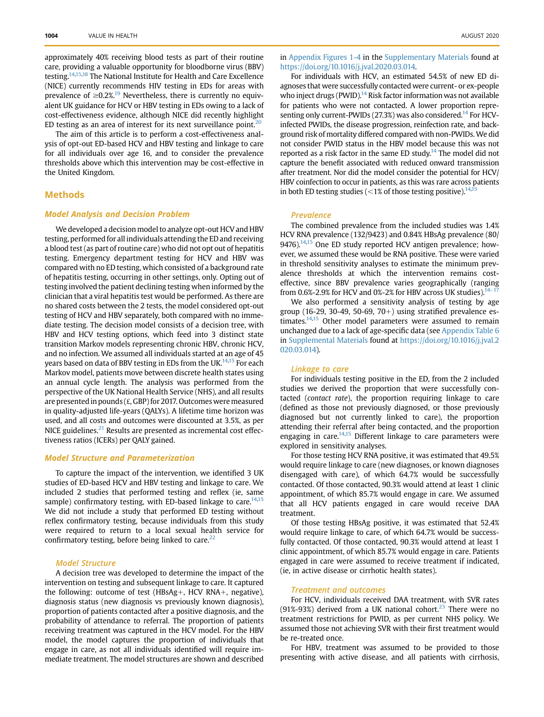approximately 40% receiving blood tests as part of their routine care, providing a valuable opportunity for bloodborne virus (BBV) testing.<sup>14,[15](#page-7-10)[,18](#page-7-11)</sup> The National Institute for Health and Care Excellence (NICE) currently recommends HIV testing in EDs for areas with prevalence of  $\geq 0.2\%$ <sup>19</sup> Nevertheless, there is currently no equivalent UK guidance for HCV or HBV testing in EDs owing to a lack of cost-effectiveness evidence, although NICE did recently highlight ED testing as an area of interest for its next surveillance point.<sup>[20](#page-7-13)</sup>

The aim of this article is to perform a cost-effectiveness analysis of opt-out ED-based HCV and HBV testing and linkage to care for all individuals over age 16, and to consider the prevalence thresholds above which this intervention may be cost-effective in the United Kingdom.

### Methods

### Model Analysis and Decision Problem

We developed a decision model to analyze opt-out HCV and HBV testing, performed for all individuals attending the ED and receiving a blood test (as part of routine care) who did not opt out of hepatitis testing. Emergency department testing for HCV and HBV was compared with no ED testing, which consisted of a background rate of hepatitis testing, occurring in other settings, only. Opting out of testing involved the patient declining testing when informed by the clinician that a viral hepatitis test would be performed. As there are no shared costs between the 2 tests, the model considered opt-out testing of HCV and HBV separately, both compared with no immediate testing. The decision model consists of a decision tree, with HBV and HCV testing options, which feed into 3 distinct state transition Markov models representing chronic HBV, chronic HCV, and no infection. We assumed all individuals started at an age of 45 years based on data of BBV testing in EDs from the UK.<sup>[14,](#page-7-9)[15](#page-7-10)</sup> For each Markov model, patients move between discrete health states using an annual cycle length. The analysis was performed from the perspective of the UK National Health Service (NHS), and all results are presented in pounds ( $\pounds$ , GBP) for 2017. Outcomes were measured in quality-adjusted life-years (QALYs). A lifetime time horizon was used, and all costs and outcomes were discounted at 3.5%, as per NICE guidelines.<sup>[21](#page-7-14)</sup> Results are presented as incremental cost effectiveness ratios (ICERs) per QALY gained.

### Model Structure and Parameterization

To capture the impact of the intervention, we identified 3 UK studies of ED-based HCV and HBV testing and linkage to care. We included 2 studies that performed testing and reflex (ie, same sample) confirmatory testing, with ED-based linkage to care. $14.15$  $14.15$ We did not include a study that performed ED testing without reflex confirmatory testing, because individuals from this study were required to return to a local sexual health service for confirmatory testing, before being linked to care.<sup>22</sup>

#### Model Structure

A decision tree was developed to determine the impact of the intervention on testing and subsequent linkage to care. It captured the following: outcome of test (HBsAg+, HCV RNA+, negative), diagnosis status (new diagnosis vs previously known diagnosis), proportion of patients contacted after a positive diagnosis, and the probability of attendance to referral. The proportion of patients receiving treatment was captured in the HCV model. For the HBV model, the model captures the proportion of individuals that engage in care, as not all individuals identified will require immediate treatment. The model structures are shown and described

in Appendix Figures 1-4 in the Supplementary Materials found at <https://doi.org/10.1016/j.jval.2020.03.014>.

For individuals with HCV, an estimated 54.5% of new ED diagnoses that were successfully contacted were current- or ex-people who inject drugs (PWID). $14$  Risk factor information was not available for patients who were not contacted. A lower proportion representing only current-PWIDs  $(27.3%)$  was also considered.<sup>14</sup> For HCVinfected PWIDs, the disease progression, reinfection rate, and background risk of mortality differed compared with non-PWIDs. We did not consider PWID status in the HBV model because this was not reported as a risk factor in the same ED study.<sup>[14](#page-7-9)</sup> The model did not capture the benefit associated with reduced onward transmission after treatment. Nor did the model consider the potential for HCV/ HBV coinfection to occur in patients, as this was rare across patients in both ED testing studies ( $\lt 1\%$  of those testing positive).<sup>14,1</sup>

#### Prevalence

The combined prevalence from the included studies was 1.4% HCV RNA prevalence (132/9423) and 0.84% HBsAg prevalence (80/ 9476). $14,15$  $14,15$  One ED study reported HCV antigen prevalence; however, we assumed these would be RNA positive. These were varied in threshold sensitivity analyses to estimate the minimum prevalence thresholds at which the intervention remains costeffective, since BBV prevalence varies geographically (ranging from 0.6%-2.9% for HCV and 0%-2% for HBV across UK studies). $14-17$ 

We also performed a sensitivity analysis of testing by age group (16-29, 30-49, 50-69, 70+) using stratified prevalence estimates. $14,15$  $14,15$  Other model parameters were assumed to remain unchanged due to a lack of age-specific data (see Appendix Table 6 in Supplemental Materials found at [https://doi.org/10.1016/j.jval.2](https://doi.org/10.1016/j.jval.2020.03.014) [020.03.014](https://doi.org/10.1016/j.jval.2020.03.014)).

#### Linkage to care

For individuals testing positive in the ED, from the 2 included studies we derived the proportion that were successfully contacted (contact rate), the proportion requiring linkage to care (defined as those not previously diagnosed, or those previously diagnosed but not currently linked to care), the proportion attending their referral after being contacted, and the proportion engaging in care.<sup>14,[15](#page-7-10)</sup> Different linkage to care parameters were explored in sensitivity analyses.

For those testing HCV RNA positive, it was estimated that 49.5% would require linkage to care (new diagnoses, or known diagnoses disengaged with care), of which 64.7% would be successfully contacted. Of those contacted, 90.3% would attend at least 1 clinic appointment, of which 85.7% would engage in care. We assumed that all HCV patients engaged in care would receive DAA treatment.

Of those testing HBsAg positive, it was estimated that 52.4% would require linkage to care, of which 64.7% would be successfully contacted. Of those contacted, 90.3% would attend at least 1 clinic appointment, of which 85.7% would engage in care. Patients engaged in care were assumed to receive treatment if indicated, (ie, in active disease or cirrhotic health states).

#### Treatment and outcomes

For HCV, individuals received DAA treatment, with SVR rates (91%-93%) derived from a UK national cohort.<sup>23</sup> There were no treatment restrictions for PWID, as per current NHS policy. We assumed those not achieving SVR with their first treatment would be re-treated once.

For HBV, treatment was assumed to be provided to those presenting with active disease, and all patients with cirrhosis,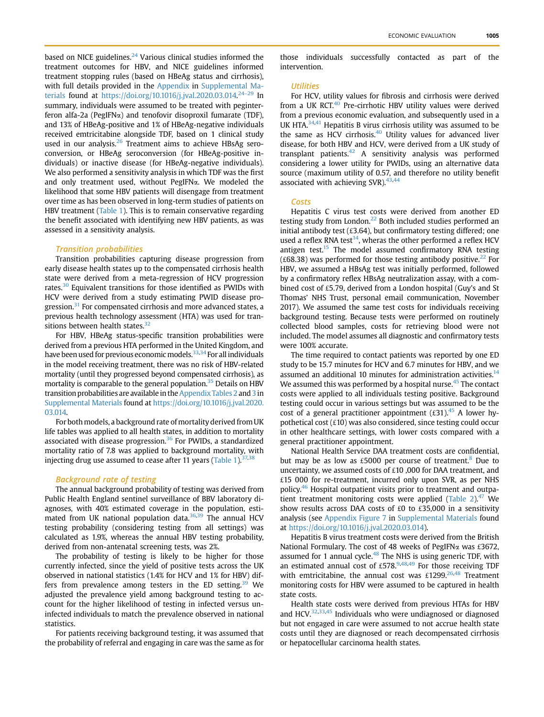based on NICE guidelines.<sup>[24](#page-7-17)</sup> Various clinical studies informed the treatment outcomes for HBV, and NICE guidelines informed treatment stopping rules (based on HBeAg status and cirrhosis), with full details provided in the Appendix in Supplemental Materials found at <https://doi.org/10.1016/j.jval.2020.03.014>.<sup>24–[29](#page-7-17)</sup> In summary, individuals were assumed to be treated with peginterferon alfa-2a (PegIFN $\alpha$ ) and tenofovir disoproxil fumarate (TDF), and 13% of HBeAg-positive and 1% of HBeAg-negative individuals received emtricitabine alongside TDF, based on 1 clinical study used in our analysis.<sup>[26](#page-7-18)</sup> Treatment aims to achieve HBsAg seroconversion, or HBeAg seroconversion (for HBeAg-positive individuals) or inactive disease (for HBeAg-negative individuals). We also performed a sensitivity analysis in which TDF was the first and only treatment used, without PegIFNa. We modeled the likelihood that some HBV patients will disengage from treatment over time as has been observed in long-term studies of patients on HBV treatment ([Table 1](#page-3-0)). This is to remain conservative regarding the benefit associated with identifying new HBV patients, as was assessed in a sensitivity analysis.

#### Transition probabilities

Transition probabilities capturing disease progression from early disease health states up to the compensated cirrhosis health state were derived from a meta-regression of HCV progression rates.<sup>[30](#page-7-19)</sup> Equivalent transitions for those identified as PWIDs with HCV were derived from a study estimating PWID disease pro-gression.<sup>[31](#page-7-20)</sup> For compensated cirrhosis and more advanced states, a previous health technology assessment (HTA) was used for tran-sitions between health states.<sup>[32](#page-7-21)</sup>

For HBV, HBeAg status-specific transition probabilities were derived from a previous HTA performed in the United Kingdom, and have been used for previous economic models.<sup>33[,34](#page-7-23)</sup> For all individuals in the model receiving treatment, there was no risk of HBV-related mortality (until they progressed beyond compensated cirrhosis), as mortality is comparable to the general population.<sup>35</sup> Details on HBV transition probabilities are available in the Appendix Tables 2 and 3 in Supplemental Materials found at [https://doi.org/10.1016/j.jval.2020.](https://doi.org/10.1016/j.jval.2020.03.014) [03.014](https://doi.org/10.1016/j.jval.2020.03.014).

For both models, a background rate of mortality derived from UK life tables was applied to all health states, in addition to mortality associated with disease progression.<sup>[36](#page-7-25)</sup> For PWIDs, a standardized mortality ratio of 7.8 was applied to background mortality, with injecting drug use assumed to cease after 11 years ([Table 1](#page-3-0)). $37,38$  $37,38$ 

#### Background rate of testing

The annual background probability of testing was derived from Public Health England sentinel surveillance of BBV laboratory diagnoses, with 40% estimated coverage in the population, esti-mated from UK national population data.<sup>[36,](#page-7-25)[39](#page-7-28)</sup> The annual HCV testing probability (considering testing from all settings) was calculated as 1.9%, whereas the annual HBV testing probability, derived from non-antenatal screening tests, was 2%.

The probability of testing is likely to be higher for those currently infected, since the yield of positive tests across the UK observed in national statistics (1.4% for HCV and 1% for HBV) differs from prevalence among testers in the ED setting.<sup>39</sup> We adjusted the prevalence yield among background testing to account for the higher likelihood of testing in infected versus uninfected individuals to match the prevalence observed in national statistics.

For patients receiving background testing, it was assumed that the probability of referral and engaging in care was the same as for

those individuals successfully contacted as part of the intervention.

### **Utilities**

For HCV, utility values for fibrosis and cirrhosis were derived from a UK RCT.<sup>[40](#page-7-29)</sup> Pre-cirrhotic HBV utility values were derived from a previous economic evaluation, and subsequently used in a UK HTA[.34](#page-7-23),[41](#page-7-30) Hepatitis B virus cirrhosis utility was assumed to be the same as HCV cirrhosis.<sup>[40](#page-7-29)</sup> Utility values for advanced liver disease, for both HBV and HCV, were derived from a UK study of transplant patients. $42$  A sensitivity analysis was performed considering a lower utility for PWIDs, using an alternative data source (maximum utility of 0.57, and therefore no utility benefit associated with achieving SVR). $43,44$  $43,44$ 

#### Costs

Hepatitis C virus test costs were derived from another ED testing study from London.<sup>[22](#page-7-15)</sup> Both included studies performed an initial antibody test (£3.64), but confirmatory testing differed; one used a reflex RNA test<sup>14</sup>, wheras the other performed a reflex HCV antigen test.<sup>15</sup> The model assumed confirmatory RNA testing ( $\pounds$ 68.38) was performed for those testing antibody positive.<sup>22</sup> For HBV, we assumed a HBsAg test was initially performed, followed by a confirmatory reflex HBsAg neutralization assay, with a combined cost of £5.79, derived from a London hospital (Guy's and St Thomas' NHS Trust, personal email communication, November 2017). We assumed the same test costs for individuals receiving background testing. Because tests were performed on routinely collected blood samples, costs for retrieving blood were not included. The model assumes all diagnostic and confirmatory tests were 100% accurate.

The time required to contact patients was reported by one ED study to be 15.7 minutes for HCV and 6.7 minutes for HBV, and we assumed an additional 10 minutes for administration activities.<sup>[14](#page-7-9)</sup> We assumed this was performed by a hospital nurse.<sup>[45](#page-7-34)</sup> The contact costs were applied to all individuals testing positive. Background testing could occur in various settings but was assumed to be the cost of a general practitioner appointment  $(\text{\textsterling}31)^{45}$  $(\text{\textsterling}31)^{45}$  $(\text{\textsterling}31)^{45}$  A lower hypothetical cost  $(£10)$  was also considered, since testing could occur in other healthcare settings, with lower costs compared with a general practitioner appointment.

National Health Service DAA treatment costs are confidential, but may be as low as £5000 per course of treatment.<sup>8</sup> Due to uncertainty, we assumed costs of £10 ,000 for DAA treatment, and £15 000 for re-treatment, incurred only upon SVR, as per NHS policy[.46](#page-7-36) Hospital outpatient visits prior to treatment and outpa-tient treatment monitoring costs were applied [\(Table 2\)](#page-4-0). $47$  We show results across DAA costs of £0 to £35,000 in a sensitivity analysis (see Appendix Figure 7 in Supplemental Materials found at [https://doi.org/10.1016/j.jval.2020.03.014\)](https://doi.org/10.1016/j.jval.2020.03.014).

Hepatitis B virus treatment costs were derived from the British National Formulary. The cost of 48 weeks of PegIFNa was £3672, assumed for 1 annual cycle.<sup>[48](#page-8-1)</sup> The NHS is using generic TDF, with an estimated annual cost of £578. $9,48,49$  $9,48,49$  $9,48,49$  For those receiving TDF with emtricitabine, the annual cost was £1299.<sup>26,[48](#page-8-1)</sup> Treatment monitoring costs for HBV were assumed to be captured in health state costs.

Health state costs were derived from previous HTAs for HBV and HCV. $32,33,45$  $32,33,45$  $32,33,45$  Individuals who were undiagnosed or diagnosed but not engaged in care were assumed to not accrue health state costs until they are diagnosed or reach decompensated cirrhosis or hepatocellular carcinoma health states.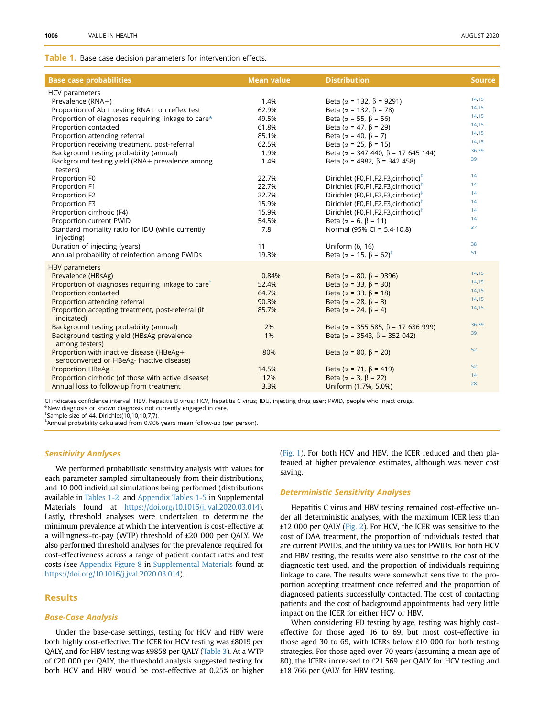#### <span id="page-3-0"></span>**Table 1.** Base case decision parameters for intervention effects.

| <b>Base case probabilities</b>                                 | <b>Mean value</b> | <b>Distribution</b>                              | <b>Source</b> |
|----------------------------------------------------------------|-------------------|--------------------------------------------------|---------------|
| HCV parameters                                                 |                   |                                                  |               |
| Prevalence (RNA+)                                              | 1.4%              | Beta ( $\alpha$ = 132, $\beta$ = 9291)           | 14,15         |
| Proportion of Ab+ testing RNA+ on reflex test                  | 62.9%             | Beta ( $\alpha$ = 132, $\beta$ = 78)             | 14,15         |
| Proportion of diagnoses requiring linkage to care*             | 49.5%             | Beta ( $\alpha$ = 55, $\beta$ = 56)              | 14,15         |
| Proportion contacted                                           | 61.8%             | Beta ( $\alpha$ = 47, $\beta$ = 29)              | 14,15         |
| Proportion attending referral                                  | 85.1%             | Beta ( $\alpha$ = 40, $\beta$ = 7)               | 14,15         |
| Proportion receiving treatment, post-referral                  | 62.5%             | Beta ( $\alpha$ = 25, $\beta$ = 15)              | 14,15         |
| Background testing probability (annual)                        | 1.9%              | Beta ( $\alpha$ = 347 440, $\beta$ = 17 645 144) | 36,39         |
| Background testing yield (RNA+ prevalence among                | 1.4%              | Beta ( $\alpha$ = 4982, $\beta$ = 342 458)       | 39            |
| testers)                                                       |                   |                                                  |               |
| Proportion F0                                                  | 22.7%             | Dirichlet (F0,F1,F2,F3,cirrhotic) <sup>‡</sup>   | 14            |
| Proportion F1                                                  | 22.7%             | Dirichlet (F0,F1,F2,F3,cirrhotic) <sup>‡</sup>   | 14            |
| Proportion F2                                                  | 22.7%             | Dirichlet (F0,F1,F2,F3,cirrhotic) <sup>‡</sup>   | 14            |
| Proportion F3                                                  | 15.9%             | Dirichlet (F0,F1,F2,F3,cirrhotic) <sup>†</sup>   | 14            |
| Proportion cirrhotic (F4)                                      | 15.9%             | Dirichlet (F0,F1,F2,F3,cirrhotic) <sup>†</sup>   | 14            |
| Proportion current PWID                                        | 54.5%             | Beta ( $\alpha$ = 6, $\beta$ = 11)               | 14            |
| Standard mortality ratio for IDU (while currently              | 7.8               | Normal (95% CI = 5.4-10.8)                       | 37            |
| injecting)                                                     |                   |                                                  |               |
| Duration of injecting (years)                                  | 11                | Uniform (6, 16)                                  | 38            |
| Annual probability of reinfection among PWIDs                  | 19.3%             | Beta ( $\alpha$ = 15, $\beta$ = 62) <sup>‡</sup> | 51            |
| <b>HBV</b> parameters                                          |                   |                                                  |               |
| Prevalence (HBsAg)                                             | 0.84%             | Beta ( $\alpha$ = 80, $\beta$ = 9396)            | 14,15         |
| Proportion of diagnoses requiring linkage to care <sup>t</sup> | 52.4%             | Beta ( $\alpha$ = 33, $\beta$ = 30)              | 14,15         |
| Proportion contacted                                           | 64.7%             | Beta ( $\alpha$ = 33, $\beta$ = 18)              | 14,15         |
| Proportion attending referral                                  | 90.3%             | Beta ( $\alpha$ = 28, $\beta$ = 3)               | 14,15         |
| Proportion accepting treatment, post-referral (if              | 85.7%             | Beta ( $\alpha$ = 24, $\beta$ = 4)               | 14,15         |
| indicated)                                                     |                   |                                                  |               |
| Background testing probability (annual)                        | 2%                | Beta ( $\alpha$ = 355 585, $\beta$ = 17 636 999) | 36,39         |
| Background testing yield (HBsAg prevalence                     | 1%                | Beta ( $\alpha$ = 3543, $\beta$ = 352 042)       | 39            |
| among testers)                                                 |                   |                                                  |               |
| Proportion with inactive disease (HBeAg+                       | 80%               | Beta ( $\alpha$ = 80, $\beta$ = 20)              | 52            |
| seroconverted or HBeAg- inactive disease)                      |                   |                                                  |               |
| Proportion HBeAg+                                              | 14.5%             | Beta ( $\alpha$ = 71, $\beta$ = 419)             | 52            |
| Proportion cirrhotic (of those with active disease)            | 12%               | Beta ( $\alpha$ = 3, $\beta$ = 22)               | 14            |
| Annual loss to follow-up from treatment                        | 3.3%              | Uniform (1.7%, 5.0%)                             | 28            |
|                                                                |                   |                                                  |               |

<span id="page-3-1"></span>CI indicates confidence interval; HBV, hepatitis B virus; HCV, hepatitis C virus; IDU, injecting drug user; PWID, people who inject drugs. \*New diagnosis or known diagnosis not currently engaged in care.

<span id="page-3-3"></span>† Sample size of 44, Dirichlet(10,10,10,7,7).

<span id="page-3-2"></span>‡ Annual probability calculated from 0.906 years mean follow-up (per person).

### Sensitivity Analyses

We performed probabilistic sensitivity analysis with values for each parameter sampled simultaneously from their distributions, and 10 000 individual simulations being performed (distributions available in [Tables 1-2,](#page-3-0) and Appendix Tables 1-5 in Supplemental Materials found at <https://doi.org/10.1016/j.jval.2020.03.014>). Lastly, threshold analyses were undertaken to determine the minimum prevalence at which the intervention is cost-effective at a willingness-to-pay (WTP) threshold of £20 000 per QALY. We also performed threshold analyses for the prevalence required for cost-effectiveness across a range of patient contact rates and test costs (see Appendix Figure 8 in Supplemental Materials found at <https://doi.org/10.1016/j.jval.2020.03.014>).

## **Results**

### Base-Case Analysis

Under the base-case settings, testing for HCV and HBV were both highly cost-effective. The ICER for HCV testing was £8019 per QALY, and for HBV testing was £9858 per QALY [\(Table 3\)](#page-4-1). At a WTP of £20 000 per QALY, the threshold analysis suggested testing for both HCV and HBV would be cost-effective at 0.25% or higher

([Fig. 1](#page-5-0)). For both HCV and HBV, the ICER reduced and then plateaued at higher prevalence estimates, although was never cost saving.

### Deterministic Sensitivity Analyses

Hepatitis C virus and HBV testing remained cost-effective under all deterministic analyses, with the maximum ICER less than £12 000 per QALY [\(Fig. 2\)](#page-5-1). For HCV, the ICER was sensitive to the cost of DAA treatment, the proportion of individuals tested that are current PWIDs, and the utility values for PWIDs. For both HCV and HBV testing, the results were also sensitive to the cost of the diagnostic test used, and the proportion of individuals requiring linkage to care. The results were somewhat sensitive to the proportion accepting treatment once referred and the proportion of diagnosed patients successfully contacted. The cost of contacting patients and the cost of background appointments had very little impact on the ICER for either HCV or HBV.

When considering ED testing by age, testing was highly costeffective for those aged 16 to 69, but most cost-effective in those aged 30 to 69, with ICERs below £10 000 for both testing strategies. For those aged over 70 years (assuming a mean age of 80), the ICERs increased to £21 569 per QALY for HCV testing and £18 766 per QALY for HBV testing.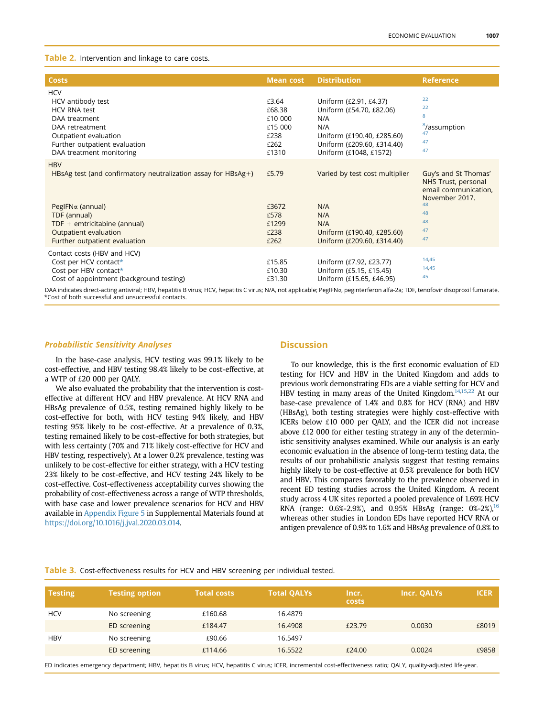### <span id="page-4-0"></span>Table 2. Intervention and linkage to care costs.

| <b>Costs</b>                                                                                                                                                                                                               | <b>Mean cost</b>                                               | <b>Distribution</b>                                                                                                                                    | <b>Reference</b>                                                                                                    |
|----------------------------------------------------------------------------------------------------------------------------------------------------------------------------------------------------------------------------|----------------------------------------------------------------|--------------------------------------------------------------------------------------------------------------------------------------------------------|---------------------------------------------------------------------------------------------------------------------|
| <b>HCV</b><br>HCV antibody test<br><b>HCV RNA test</b><br>DAA treatment<br>DAA retreatment<br>Outpatient evaluation<br>Further outpatient evaluation<br>DAA treatment monitoring                                           | £3.64<br>£68.38<br>£10 000<br>£15 000<br>£238<br>£262<br>£1310 | Uniform (£2.91, £4.37)<br>Uniform (£54.70, £82.06)<br>N/A<br>N/A<br>Uniform (£190.40, £285.60)<br>Uniform (£209.60, £314.40)<br>Uniform (£1048, £1572) | 22<br>22<br>8<br><sup>8</sup> /assumption<br>47<br>47<br>47                                                         |
| <b>HBV</b><br>HBsAg test (and confirmatory neutralization assay for $HBsAg+$ )<br>PegIFN <sub>a</sub> (annual)<br>TDF (annual)<br>$TDF +$ emtricitabine (annual)<br>Outpatient evaluation<br>Further outpatient evaluation | £5.79<br>£3672<br>£578<br>£1299<br>£238<br>£262                | Varied by test cost multiplier<br>N/A<br>N/A<br>N/A<br>Uniform (£190.40, £285.60)<br>Uniform (£209.60, £314.40)                                        | Guy's and St Thomas'<br>NHS Trust, personal<br>email communication,<br>November 2017.<br>48<br>48<br>48<br>47<br>47 |
| Contact costs (HBV and HCV)<br>Cost per HCV contact*<br>Cost per HBV contact*<br>Cost of appointment (background testing)                                                                                                  | £15.85<br>£10.30<br>£31.30                                     | Uniform (£7.92, £23.77)<br>Uniform (£5.15, £15.45)<br>Uniform (£15.65, £46.95)                                                                         | 14,45<br>14,45<br>45                                                                                                |

<span id="page-4-2"></span>DAA indicates direct-acting antiviral; HBV, hepatitis B virus; HCV, hepatitis C virus; N/A, not applicable; PegIFNa, peginterferon alfa-2a; TDF, tenofovir disoproxil fumarate. \*Cost of both successful and unsuccessful contacts.

### Probabilistic Sensitivity Analyses

In the base-case analysis, HCV testing was 99.1% likely to be cost-effective, and HBV testing 98.4% likely to be cost-effective, at a WTP of £20 000 per QALY.

We also evaluated the probability that the intervention is costeffective at different HCV and HBV prevalence. At HCV RNA and HBsAg prevalence of 0.5%, testing remained highly likely to be cost-effective for both, with HCV testing 94% likely, and HBV testing 95% likely to be cost-effective. At a prevalence of 0.3%, testing remained likely to be cost-effective for both strategies, but with less certainty (70% and 71% likely cost-effective for HCV and HBV testing, respectively). At a lower 0.2% prevalence, testing was unlikely to be cost-effective for either strategy, with a HCV testing 23% likely to be cost-effective, and HCV testing 24% likely to be cost-effective. Cost-effectiveness acceptability curves showing the probability of cost-effectiveness across a range of WTP thresholds, with base case and lower prevalence scenarios for HCV and HBV available in Appendix Figure 5 in Supplemental Materials found at <https://doi.org/10.1016/j.jval.2020.03.014>.

### **Discussion**

To our knowledge, this is the first economic evaluation of ED testing for HCV and HBV in the United Kingdom and adds to previous work demonstrating EDs are a viable setting for HCV and HBV testing in many areas of the United Kingdom.<sup>14,[15](#page-7-10)[,22](#page-7-15)</sup> At our base-case prevalence of 1.4% and 0.8% for HCV (RNA) and HBV (HBsAg), both testing strategies were highly cost-effective with ICERs below £10 000 per QALY, and the ICER did not increase above £12 000 for either testing strategy in any of the deterministic sensitivity analyses examined. While our analysis is an early economic evaluation in the absence of long-term testing data, the results of our probabilistic analysis suggest that testing remains highly likely to be cost-effective at 0.5% prevalence for both HCV and HBV. This compares favorably to the prevalence observed in recent ED testing studies across the United Kingdom. A recent study across 4 UK sites reported a pooled prevalence of 1.69% HCV RNA (range: 0.6%-2.9%), and 0.95% HBsAg (range:  $0\frac{0}{2}$ %-2%), <sup>16</sup> whereas other studies in London EDs have reported HCV RNA or antigen prevalence of 0.9% to 1.6% and HBsAg prevalence of 0.8% to

### <span id="page-4-1"></span>Table 3. Cost-effectiveness results for HCV and HBV screening per individual tested.

| <b>Testing</b> | <b>Testing option</b> | <b>Total costs</b> | <b>Total QALYs</b> | Incr.<br><b>costs</b> | Incr. QALYs | <b>ICER</b> |
|----------------|-----------------------|--------------------|--------------------|-----------------------|-------------|-------------|
| <b>HCV</b>     | No screening          | £160.68            | 16.4879            |                       |             |             |
|                | ED screening          | £184.47            | 16.4908            | £23.79                | 0.0030      | £8019       |
| <b>HBV</b>     | No screening          | £90.66             | 16.5497            |                       |             |             |
|                | ED screening          | £114.66            | 16.5522            | £24.00                | 0.0024      | £9858       |
|                |                       |                    |                    |                       |             |             |

ED indicates emergency department; HBV, hepatitis B virus; HCV, hepatitis C virus; ICER, incremental cost-effectiveness ratio; QALY, quality-adjusted life-year.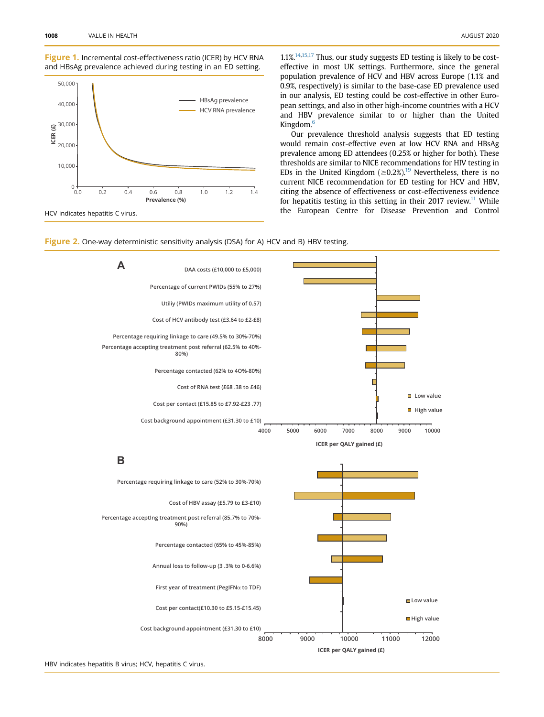### <span id="page-5-0"></span>Figure 1. Incremental cost-effectiveness ratio (ICER) by HCV RNA and HBsAg prevalence achieved during testing in an ED setting.



1.1%[.14](#page-7-9),[15,](#page-7-10)[17](#page-7-40) Thus, our study suggests ED testing is likely to be costeffective in most UK settings. Furthermore, since the general population prevalence of HCV and HBV across Europe (1.1% and 0.9%, respectively) is similar to the base-case ED prevalence used in our analysis, ED testing could be cost-effective in other European settings, and also in other high-income countries with a HCV and HBV prevalence similar to or higher than the United Kingdom.[6](#page-7-41)

Our prevalence threshold analysis suggests that ED testing would remain cost-effective even at low HCV RNA and HBsAg prevalence among ED attendees (0.25% or higher for both). These thresholds are similar to NICE recommendations for HIV testing in EDs in the United Kingdom ( $\geq$ 0.2%).<sup>[19](#page-7-12)</sup> Nevertheless, there is no current NICE recommendation for ED testing for HCV and HBV, citing the absence of effectiveness or cost-effectiveness evidence for hepatitis testing in this setting in their 2017 review.<sup>11</sup> While the European Centre for Disease Prevention and Control

<span id="page-5-1"></span>



HBV indicates hepatitis B virus; HCV, hepatitis C virus.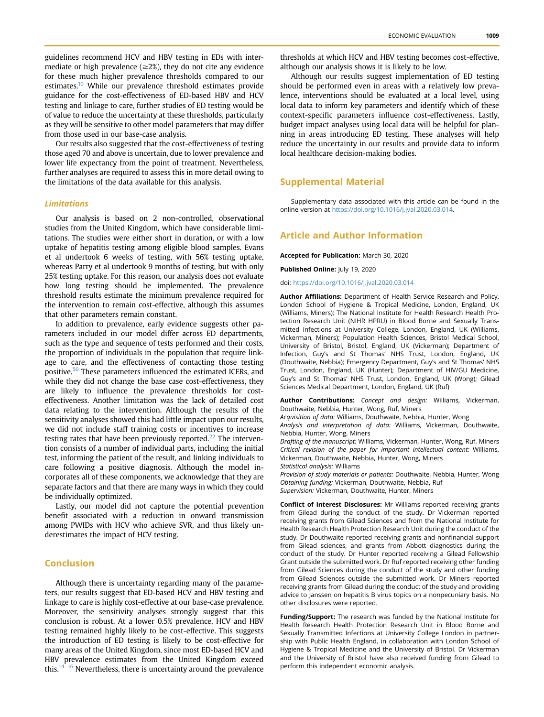guidelines recommend HCV and HBV testing in EDs with intermediate or high prevalence ( $\geq$ 2%), they do not cite any evidence for these much higher prevalence thresholds compared to our estimates.<sup>10</sup> While our prevalence threshold estimates provide guidance for the cost-effectiveness of ED-based HBV and HCV testing and linkage to care, further studies of ED testing would be of value to reduce the uncertainty at these thresholds, particularly as they will be sensitive to other model parameters that may differ from those used in our base-case analysis.

Our results also suggested that the cost-effectiveness of testing those aged 70 and above is uncertain, due to lower prevalence and lower life expectancy from the point of treatment. Nevertheless, further analyses are required to assess this in more detail owing to the limitations of the data available for this analysis.

### Limitations

Our analysis is based on 2 non-controlled, observational studies from the United Kingdom, which have considerable limitations. The studies were either short in duration, or with a low uptake of hepatitis testing among eligible blood samples. Evans et al undertook 6 weeks of testing, with 56% testing uptake, whereas Parry et al undertook 9 months of testing, but with only 25% testing uptake. For this reason, our analysis does not evaluate how long testing should be implemented. The prevalence threshold results estimate the minimum prevalence required for the intervention to remain cost-effective, although this assumes that other parameters remain constant.

In addition to prevalence, early evidence suggests other parameters included in our model differ across ED departments, such as the type and sequence of tests performed and their costs, the proportion of individuals in the population that require linkage to care, and the effectiveness of contacting those testing positive.<sup>50</sup> These parameters influenced the estimated ICERs, and while they did not change the base case cost-effectiveness, they are likely to influence the prevalence thresholds for costeffectiveness. Another limitation was the lack of detailed cost data relating to the intervention. Although the results of the sensitivity analyses showed this had little impact upon our results, we did not include staff training costs or incentives to increase testing rates that have been previously reported.<sup>22</sup> The intervention consists of a number of individual parts, including the initial test, informing the patient of the result, and linking individuals to care following a positive diagnosis. Although the model incorporates all of these components, we acknowledge that they are separate factors and that there are many ways in which they could be individually optimized.

Lastly, our model did not capture the potential prevention benefit associated with a reduction in onward transmission among PWIDs with HCV who achieve SVR, and thus likely underestimates the impact of HCV testing.

### Conclusion

Although there is uncertainty regarding many of the parameters, our results suggest that ED-based HCV and HBV testing and linkage to care is highly cost-effective at our base-case prevalence. Moreover, the sensitivity analyses strongly suggest that this conclusion is robust. At a lower 0.5% prevalence, HCV and HBV testing remained highly likely to be cost-effective. This suggests the introduction of ED testing is likely to be cost-effective for many areas of the United Kingdom, since most ED-based HCV and HBV prevalence estimates from the United Kingdom exceed this. $14-16$  Nevertheless, there is uncertainty around the prevalence thresholds at which HCV and HBV testing becomes cost-effective, although our analysis shows it is likely to be low.

Although our results suggest implementation of ED testing should be performed even in areas with a relatively low prevalence, interventions should be evaluated at a local level, using local data to inform key parameters and identify which of these context-specific parameters influence cost-effectiveness. Lastly, budget impact analyses using local data will be helpful for planning in areas introducing ED testing. These analyses will help reduce the uncertainty in our results and provide data to inform local healthcare decision-making bodies.

### Supplemental Material

Supplementary data associated with this article can be found in the online version at <https://doi.org/10.1016/j.jval.2020.03.014>.

# Article and Author Information

Accepted for Publication: March 30, 2020

Published Online: July 19, 2020

doi: [https://doi.org/10.1016/j.jval.2020.03.014](http://doi.org/https://doi.org/10.1016/j.jval.2020.03.014)

Author Affiliations: Department of Health Service Research and Policy, London School of Hygiene & Tropical Medicine, London, England, UK (Williams, Miners); The National Institute for Health Research Health Protection Research Unit (NIHR HPRU) in Blood Borne and Sexually Transmitted Infections at University College, London, England, UK (Williams, Vickerman, Miners); Population Health Sciences, Bristol Medical School, University of Bristol, Bristol, England, UK (Vickerman); Department of Infection, Guy's and St Thomas' NHS Trust, London, England, UK (Douthwaite, Nebbia); Emergency Department, Guy's and St Thomas' NHS Trust, London, England, UK (Hunter); Department of HIV/GU Medicine, Guy's and St Thomas' NHS Trust, London, England, UK (Wong); Gilead Sciences Medical Department, London, England, UK (Ruf)

Author Contributions: Concept and design: Williams, Vickerman, Douthwaite, Nebbia, Hunter, Wong, Ruf, Miners

Acquisition of data: Williams, Douthwaite, Nebbia, Hunter, Wong

Analysis and interpretation of data: Williams, Vickerman, Douthwaite, Nebbia, Hunter, Wong, Miners

Drafting of the manuscript: Williams, Vickerman, Hunter, Wong, Ruf, Miners Critical revision of the paper for important intellectual content: Williams, Vickerman, Douthwaite, Nebbia, Hunter, Wong, Miners Statistical analysis: Williams

Provision of study materials or patients: Douthwaite, Nebbia, Hunter, Wong Obtaining funding: Vickerman, Douthwaite, Nebbia, Ruf Supervision: Vickerman, Douthwaite, Hunter, Miners

Conflict of Interest Disclosures: Mr Williams reported receiving grants from Gilead during the conduct of the study. Dr Vickerman reported receiving grants from Gilead Sciences and from the National Institute for Health Research Health Protection Research Unit during the conduct of the study. Dr Douthwaite reported receiving grants and nonfinancial support from Gilead sciences, and grants from Abbott diagnostics during the conduct of the study. Dr Hunter reported receiving a Gilead Fellowship Grant outside the submitted work. Dr Ruf reported receiving other funding from Gilead Sciences during the conduct of the study and other funding

from Gilead Sciences outside the submitted work. Dr Miners reported receiving grants from Gilead during the conduct of the study and providing advice to Janssen on hepatitis B virus topics on a nonpecuniary basis. No other disclosures were reported.

Funding/Support: The research was funded by the National Institute for Health Research Health Protection Research Unit in Blood Borne and Sexually Transmitted Infections at University College London in partnership with Public Health England, in collaboration with London School of Hygiene & Tropical Medicine and the University of Bristol. Dr Vickerman and the University of Bristol have also received funding from Gilead to perform this independent economic analysis.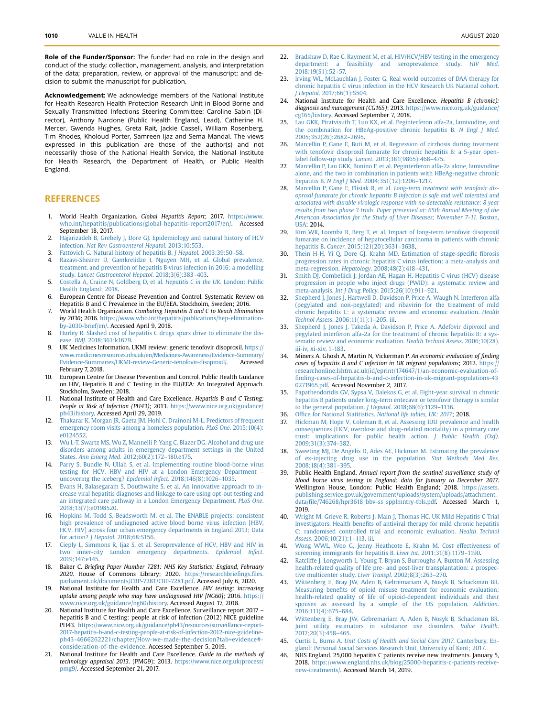Role of the Funder/Sponsor: The funder had no role in the design and conduct of the study; collection, management, analysis, and interpretation of the data; preparation, review, or approval of the manuscript; and decision to submit the manuscript for publication.

Acknowledgement: We acknowledge members of the National Institute for Health Research Health Protection Research Unit in Blood Borne and Sexually Transmitted Infections Steering Committee: Caroline Sabin (Director), Anthony Nardone (Public Health England, Lead), Catherine H. Mercer, Gwenda Hughes, Greta Rait, Jackie Cassell, William Rosenberg, Tim Rhodes, Kholoud Porter, Samreen Ijaz and Sema Mandal. The views expressed in this publication are those of the author(s) and not necessarily those of the National Health Service, the National Institute for Health Research, the Department of Health, or Public Health England.

### **REFERENCES**

- <span id="page-7-0"></span>1. World Health Organization. Global Hepatitis Report; 2017. [https://www.](https://www.who.int/hepatitis/publications/global-hepatitis-report2017/en/) [who.int/hepatitis/publications/global-hepatitis-report2017/en/.](https://www.who.int/hepatitis/publications/global-hepatitis-report2017/en/) Accessed September 18, 2017.
- <span id="page-7-1"></span>2. [Hajarizadeh B, Grebely J, Dore GJ. Epidemiology and natural history of HCV](http://refhub.elsevier.com/S1098-3015(20)32063-5/sref2) infection. [Nat Rev Gastroenterol Hepatol](http://refhub.elsevier.com/S1098-3015(20)32063-5/sref2). 2013;10:553.
- <span id="page-7-2"></span>3. [Fattovich G. Natural history of hepatitis B.](http://refhub.elsevier.com/S1098-3015(20)32063-5/sref3) *J Hepatol.* 2003;39:50–58.<br>**4.** Razavi-Shearer D. Gamkrelidze I. Nguven MH. et al. Global pre
- <span id="page-7-3"></span>[Razavi-Shearer D, Gamkrelidze I, Nguyen MH, et al. Global prevalence,](http://refhub.elsevier.com/S1098-3015(20)32063-5/sref4) [treatment, and prevention of hepatitis B virus infection in 2016: a modelling](http://refhub.elsevier.com/S1098-3015(20)32063-5/sref4) study. [Lancet Gastroenterol Hepatol](http://refhub.elsevier.com/S1098-3015(20)32063-5/sref4). 2018;3(6):383–403.
- <span id="page-7-7"></span>5. [Costella A, Craine N, Goldberg D, et al.](http://refhub.elsevier.com/S1098-3015(20)32063-5/sref5) Hepatitis C in the UK. London: Public [Health England; 2018.](http://refhub.elsevier.com/S1098-3015(20)32063-5/sref5)
- <span id="page-7-41"></span>6. European Centre for Disease Prevention and Control. Systematic Review on Hepatitis B and C Prevalence in the EU/EEA. Stockholm, Sweden; 2016.
- <span id="page-7-4"></span>7. World Health Organization. Combating Hepatitis B and C to Reach Elimination by 2030; 2016. [https://www.who.int/hepatitis/publications/hep-elimination](https://www.who.int/hepatitis/publications/hep-elimination-by-2030-brief/en/)[by-2030-brief/en/](https://www.who.int/hepatitis/publications/hep-elimination-by-2030-brief/en/). Accessed April 9, 2018.
- <span id="page-7-35"></span>8. [Hurley R. Slashed cost of hepatitis C drugs spurs drive to eliminate the dis](http://refhub.elsevier.com/S1098-3015(20)32063-5/sref8)ease. BMJ[. 2018;361:k1679](http://refhub.elsevier.com/S1098-3015(20)32063-5/sref8).
- <span id="page-7-37"></span>9. UK Medicines Information. UKMI review: generic tenofovir disoproxil. [https://](https://www.medicinesresources.nhs.uk/en/Medicines-Awareness/Evidence-Summary/Evidence-Summaries/UKMI-review-Generic-tenofovir-disoproxil/) [www.medicinesresources.nhs.uk/en/Medicines-Awareness/Evidence-Summary/](https://www.medicinesresources.nhs.uk/en/Medicines-Awareness/Evidence-Summary/Evidence-Summaries/UKMI-review-Generic-tenofovir-disoproxil/) [Evidence-Summaries/UKMI-review-Generic-tenofovir-disoproxil/](https://www.medicinesresources.nhs.uk/en/Medicines-Awareness/Evidence-Summary/Evidence-Summaries/UKMI-review-Generic-tenofovir-disoproxil/). Accessed February 7, 2018.
- <span id="page-7-5"></span>10. European Centre for Disease Prevention and Control. Public Health Guidance on HIV, Hepatitis B and C Testing in the EU/EEA: An Integrated Approach. Stockholm, Sweden; 2018.
- <span id="page-7-6"></span>National Institute of Health and Care Excellence. Hepatitis B and C Testing: People at Risk of Infection (PH43); 2013. [https://www.nice.org.uk/guidance/](https://www.nice.org.uk/guidance/ph43/history) [ph43/history.](https://www.nice.org.uk/guidance/ph43/history) Accessed April 29, 2019.
- <span id="page-7-8"></span>12. [Thakarar K, Morgan JR, Gaeta JM, Hohl C, Drainoni M-L. Predictors of frequent](http://refhub.elsevier.com/S1098-3015(20)32063-5/sref12) [emergency room visits among a homeless population.](http://refhub.elsevier.com/S1098-3015(20)32063-5/sref12) PLoS One. 2015;10(4): [e0124552.](http://refhub.elsevier.com/S1098-3015(20)32063-5/sref12)
- 13. [Wu L-T, Swartz MS, Wu Z, Mannelli P, Yang C, Blazer DG. Alcohol and drug use](http://refhub.elsevier.com/S1098-3015(20)32063-5/sref13) [disorders among adults in emergency department settings in the United](http://refhub.elsevier.com/S1098-3015(20)32063-5/sref13) States. Ann Emerg Med[. 2012;60\(2\):172](http://refhub.elsevier.com/S1098-3015(20)32063-5/sref13)–180.e175.
- <span id="page-7-9"></span>14. [Parry S, Bundle N, Ullah S, et al. Implementing routine blood-borne virus](http://refhub.elsevier.com/S1098-3015(20)32063-5/sref14) [testing for HCV, HBV and HIV at a London Emergency Department](http://refhub.elsevier.com/S1098-3015(20)32063-5/sref14) [uncovering the iceberg?](http://refhub.elsevier.com/S1098-3015(20)32063-5/sref14) Epidemiol Infect. 2018;146(8):1026–1035.
- <span id="page-7-10"></span>15. [Evans H, Balasegaram S, Douthwaite S, et al. An innovative approach to in](http://refhub.elsevier.com/S1098-3015(20)32063-5/sref15)[crease viral hepatitis diagnoses and linkage to care using opt-out testing and](http://refhub.elsevier.com/S1098-3015(20)32063-5/sref15) [an integrated care pathway in a London Emergency Department.](http://refhub.elsevier.com/S1098-3015(20)32063-5/sref15) PLoS One. [2018;13\(7\):e0198520](http://refhub.elsevier.com/S1098-3015(20)32063-5/sref15).
- <span id="page-7-39"></span>16. [Hopkins M, Todd S, Beadsworth M, et al. The ENABLE projects: consistent](http://refhub.elsevier.com/S1098-3015(20)32063-5/sref16) [high prevalence of undiagnosed active blood borne virus infection \[HBV,](http://refhub.elsevier.com/S1098-3015(20)32063-5/sref16) [HCV, HIV\] across four urban emergency departments in England 2013; Data](http://refhub.elsevier.com/S1098-3015(20)32063-5/sref16) for action? J Hepatol[. 2018;68:S156.](http://refhub.elsevier.com/S1098-3015(20)32063-5/sref16)
- <span id="page-7-40"></span>17. [Cieply L, Simmons R, Ijaz S, et al. Seroprevalence of HCV, HBV and HIV in](http://refhub.elsevier.com/S1098-3015(20)32063-5/sref17) [two inner-city London emergency departments.](http://refhub.elsevier.com/S1098-3015(20)32063-5/sref17) Epidemiol Infect. [2019;147:e145](http://refhub.elsevier.com/S1098-3015(20)32063-5/sref17).
- <span id="page-7-11"></span>18. Baker C. Briefing Paper Number 7281: NHS Key Statistics: England, February 2020. House of Commons Library; 2020. [https://researchbrie](https://researchbriefings.files.parliament.uk/documents/CBP-7281/CBP-7281.pdf)fings.files. [parliament.uk/documents/CBP-7281/CBP-7281.pdf.](https://researchbriefings.files.parliament.uk/documents/CBP-7281/CBP-7281.pdf) Accessed July 6, 2020.
- <span id="page-7-12"></span>19. National Institute for Health and Care Excellence. HIV testing: increasing uptake among people who may have undiagnosed HIV [NG60]; 2016. [https://](https://www.nice.org.uk/guidance/ng60/history) [www.nice.org.uk/guidance/ng60/history.](https://www.nice.org.uk/guidance/ng60/history) Accessed August 17, 2018.
- <span id="page-7-13"></span>20. National Institute for Health and Care Excellence. Surveillance report 2017 – hepatitis B and C testing: people at risk of infection (2012) NICE guideline PH43. [https://www.nice.org.uk/guidance/ph43/resources/surveillance-report-](https://www.nice.org.uk/guidance/ph43/resources/surveillance-report-2017-hepatitis-b-and-c-testing-people-at-risk-of-infection-2012-nice-guideline-ph43-4666262221/chapter/How-we-made-the-decision?tab=evidence#consideration-of-the-evidence)[2017-hepatitis-b-and-c-testing-people-at-risk-of-infection-2012-nice-guideline](https://www.nice.org.uk/guidance/ph43/resources/surveillance-report-2017-hepatitis-b-and-c-testing-people-at-risk-of-infection-2012-nice-guideline-ph43-4666262221/chapter/How-we-made-the-decision?tab=evidence#consideration-of-the-evidence)[ph43-4666262221/chapter/How-we-made-the-decision?tab=evidence#](https://www.nice.org.uk/guidance/ph43/resources/surveillance-report-2017-hepatitis-b-and-c-testing-people-at-risk-of-infection-2012-nice-guideline-ph43-4666262221/chapter/How-we-made-the-decision?tab=evidence#consideration-of-the-evidence) [consideration-of-the-evidence.](https://www.nice.org.uk/guidance/ph43/resources/surveillance-report-2017-hepatitis-b-and-c-testing-people-at-risk-of-infection-2012-nice-guideline-ph43-4666262221/chapter/How-we-made-the-decision?tab=evidence#consideration-of-the-evidence) Accessed September 5, 2019.
- <span id="page-7-14"></span>21. National Institute for Health and Care Excellence. Guide to the methods of technology appraisal 2013. (PMG9); 2013. [https://www.nice.org.uk/process/](https://www.nice.org.uk/process/pmg9/) [pmg9/](https://www.nice.org.uk/process/pmg9/). Accessed September 21, 2017.
- <span id="page-7-15"></span>22. [Bradshaw D, Rae C, Rayment M, et al. HIV/HCV/HBV testing in the emergency](http://refhub.elsevier.com/S1098-3015(20)32063-5/sref22) [department: a feasibility and seroprevalence study.](http://refhub.elsevier.com/S1098-3015(20)32063-5/sref22) HIV Med. [2018;19\(S1\):52](http://refhub.elsevier.com/S1098-3015(20)32063-5/sref22)–57.
- <span id="page-7-16"></span>[Irving WL, McLauchlan J, Foster G. Real world outcomes of DAA therapy for](http://refhub.elsevier.com/S1098-3015(20)32063-5/sref23) [chronic hepatitis C virus infection in the HCV Research UK National cohort.](http://refhub.elsevier.com/S1098-3015(20)32063-5/sref23) J Hepatol[. 2017;66\(1\):S504.](http://refhub.elsevier.com/S1098-3015(20)32063-5/sref23)
- <span id="page-7-17"></span>24. National Institute for Health and Care Excellence. Hepatitis B (chronic): diagnosis and management (CG165); 2013. [https://www.nice.org.uk/guidance/](https://www.nice.org.uk/guidance/cg165/history) [cg165/history.](https://www.nice.org.uk/guidance/cg165/history) Accessed September 7, 2018.
- 25. [Lau GKK, Piratvisuth T, Luo KX, et al. Peginterferon alfa-2a, lamivudine, and](http://refhub.elsevier.com/S1098-3015(20)32063-5/sref25) [the combination for HBeAg-positive chronic hepatitis B.](http://refhub.elsevier.com/S1098-3015(20)32063-5/sref25) N Engl J Med. [2005;352\(26\):2682](http://refhub.elsevier.com/S1098-3015(20)32063-5/sref25)–2695.
- <span id="page-7-18"></span>26. [Marcellin P, Gane E, Buti M, et al. Regression of cirrhosis during treatment](http://refhub.elsevier.com/S1098-3015(20)32063-5/sref26) [with tenofovir disoproxil fumarate for chronic hepatitis B: a 5-year open](http://refhub.elsevier.com/S1098-3015(20)32063-5/sref26)[label follow-up study.](http://refhub.elsevier.com/S1098-3015(20)32063-5/sref26) Lancet. 2013;381(9865):468–475.
- 27. [Marcellin P, Lau GKK, Bonino F, et al. Peginterferon alfa-2a alone, lamivudine](http://refhub.elsevier.com/S1098-3015(20)32063-5/sref27) [alone, and the two in combination in patients with HBeAg-negative chronic](http://refhub.elsevier.com/S1098-3015(20)32063-5/sref27) hepatitis B. N Engl J Med[. 2004;351\(12\):1206](http://refhub.elsevier.com/S1098-3015(20)32063-5/sref27)–1217.
- <span id="page-7-38"></span>28. Marcellin P, Gane E, Flisiak R, et al. [Long-term treatment with tenofovir dis](http://refhub.elsevier.com/S1098-3015(20)32063-5/sref28)[oproxil fumarate for chronic hepatitis B infection is safe and well tolerated and](http://refhub.elsevier.com/S1098-3015(20)32063-5/sref28) [associated with durable virologic response with no detectable resistance: 8 year](http://refhub.elsevier.com/S1098-3015(20)32063-5/sref28) [results from two phase 3 trials. Paper presented at: 65th Annual Meeting of the](http://refhub.elsevier.com/S1098-3015(20)32063-5/sref28) [American Association for the Study of Liver Diseases; November 7-11](http://refhub.elsevier.com/S1098-3015(20)32063-5/sref28). Boston, [USA](http://refhub.elsevier.com/S1098-3015(20)32063-5/sref28); 2014.
- 29. [Kim WR, Loomba R, Berg T, et al. Impact of long-term tenofovir disoproxil](http://refhub.elsevier.com/S1098-3015(20)32063-5/sref29) [fumarate on incidence of hepatocellular carcinoma in patients with chronic](http://refhub.elsevier.com/S1098-3015(20)32063-5/sref29) hepatitis B. Cancer[. 2015;121\(20\):3631](http://refhub.elsevier.com/S1098-3015(20)32063-5/sref29)–3638.
- <span id="page-7-19"></span>30. [Thein H-H, Yi Q, Dore GJ, Krahn MD. Estimation of stage-speci](http://refhub.elsevier.com/S1098-3015(20)32063-5/sref30)fic fibrosis [progression rates in chronic hepatitis C virus infection: a meta-analysis and](http://refhub.elsevier.com/S1098-3015(20)32063-5/sref30) [meta-regression.](http://refhub.elsevier.com/S1098-3015(20)32063-5/sref30) Hepatology. 2008;48(2):418–431.
- <span id="page-7-20"></span>31. [Smith DJ, Combellick J, Jordan AE, Hagan H. Hepatitis C virus \(HCV\) disease](http://refhub.elsevier.com/S1098-3015(20)32063-5/sref31) [progression in people who inject drugs \(PWID\): a systematic review and](http://refhub.elsevier.com/S1098-3015(20)32063-5/sref31) meta-analysis. Int J Drug Policy[. 2015;26\(10\):911](http://refhub.elsevier.com/S1098-3015(20)32063-5/sref31)–921.
- <span id="page-7-21"></span>32. [Shepherd J, Jones J, Hartwell D, Davidson P, Price A, Waugh N. Interferon alfa](http://refhub.elsevier.com/S1098-3015(20)32063-5/sref32) [\(pegylated and non-pegylated\) and ribavirin for the treatment of mild](http://refhub.elsevier.com/S1098-3015(20)32063-5/sref32) [chronic hepatitis C: a systematic review and economic evaluation.](http://refhub.elsevier.com/S1098-3015(20)32063-5/sref32) Health Technol Assess[. 2006;11\(11\):1](http://refhub.elsevier.com/S1098-3015(20)32063-5/sref32)–205, iii.
- <span id="page-7-22"></span>33. [Shepherd J, Jones J, Takeda A, Davidson P, Price A. Adefovir dipivoxil and](http://refhub.elsevier.com/S1098-3015(20)32063-5/sref33) [pegylated interferon alfa-2a for the treatment of chronic hepatitis B: a sys](http://refhub.elsevier.com/S1098-3015(20)32063-5/sref33)[tematic review and economic evaluation.](http://refhub.elsevier.com/S1098-3015(20)32063-5/sref33) Health Technol Assess. 2006;10(28). [iii-iv, xi-xiv, 1-183](http://refhub.elsevier.com/S1098-3015(20)32063-5/sref33).
- <span id="page-7-23"></span>34. Miners A, Ghosh A, Martin N, Vickerman P. An economic evaluation of finding cases of hepatitis B and C infection in UK migrant populations; 2012. [https://](https://researchonline.lshtm.ac.uk/id/eprint/174647/1/an-economic-evaluation-of-finding-cases-of-hepatitis-b-and-c-infection-in-uk-migrant-populations-430271965.pdf) [researchonline.lshtm.ac.uk/id/eprint/174647/1/an-economic-evaluation-of](https://researchonline.lshtm.ac.uk/id/eprint/174647/1/an-economic-evaluation-of-finding-cases-of-hepatitis-b-and-c-infection-in-uk-migrant-populations-430271965.pdf)fi[nding-cases-of-hepatitis-b-and-c-infection-in-uk-migrant-populations-43](https://researchonline.lshtm.ac.uk/id/eprint/174647/1/an-economic-evaluation-of-finding-cases-of-hepatitis-b-and-c-infection-in-uk-migrant-populations-430271965.pdf) [0271965.pdf](https://researchonline.lshtm.ac.uk/id/eprint/174647/1/an-economic-evaluation-of-finding-cases-of-hepatitis-b-and-c-infection-in-uk-migrant-populations-430271965.pdf). Accessed November 2, 2017.
- <span id="page-7-24"></span>35. [Papatheodoridis GV, Sypsa V, Dalekos G, et al. Eight-year survival in chronic](http://refhub.elsevier.com/S1098-3015(20)32063-5/sref35) [hepatitis B patients under long-term entecavir or tenofovir therapy is similar](http://refhub.elsevier.com/S1098-3015(20)32063-5/sref35) [to the general population.](http://refhub.elsevier.com/S1098-3015(20)32063-5/sref35) J Hepatol. 2018;68(6):1129–1136.
- <span id="page-7-25"></span>Office for National Statitistics. [National life tables, UK: 2017](http://refhub.elsevier.com/S1098-3015(20)32063-5/sref36); 2018.
- <span id="page-7-26"></span>37. [Hickman M, Hope V, Coleman B, et al. Assessing IDU prevalence and health](http://refhub.elsevier.com/S1098-3015(20)32063-5/sref37) [consequences \(HCV, overdose and drug-related mortality\) in a primary care](http://refhub.elsevier.com/S1098-3015(20)32063-5/sref37) [trust: implications for public health action.](http://refhub.elsevier.com/S1098-3015(20)32063-5/sref37) J Public Health (Oxf). [2009;31\(3\):374](http://refhub.elsevier.com/S1098-3015(20)32063-5/sref37)–382.
- <span id="page-7-27"></span>38. [Sweeting MJ, De Angelis D, Ades AE, Hickman M. Estimating the prevalence](http://refhub.elsevier.com/S1098-3015(20)32063-5/sref38) [of ex-injecting drug use in the population.](http://refhub.elsevier.com/S1098-3015(20)32063-5/sref38) Stat Methods Med Res. [2008;18\(4\):381](http://refhub.elsevier.com/S1098-3015(20)32063-5/sref38)–395.
- <span id="page-7-28"></span>Public Health England. Annual report from the sentinel surveillance study of blood borne virus testing in England: data for January to December 2017. Wellington House, London: Public Health England; 2018. [https://assets.](https://assets.publishing.service.gov.uk/government/uploads/system/uploads/attachment_data/file/746268/hpr3618_bbv-ss_spplmntry-tbls.pdf) [publishing.service.gov.uk/government/uploads/system/uploads/attachment\\_](https://assets.publishing.service.gov.uk/government/uploads/system/uploads/attachment_data/file/746268/hpr3618_bbv-ss_spplmntry-tbls.pdf) data/fi[le/746268/hpr3618\\_bbv-ss\\_spplmntry-tbls.pdf](https://assets.publishing.service.gov.uk/government/uploads/system/uploads/attachment_data/file/746268/hpr3618_bbv-ss_spplmntry-tbls.pdf). Accessed March 1, 2019.
- <span id="page-7-29"></span>40. [Wright M, Grieve R, Roberts J, Main J, Thomas HC. UK Mild Hepatitis C Trial](http://refhub.elsevier.com/S1098-3015(20)32063-5/sref40) Investigators. Health benefi[ts of antiviral therapy for mild chronic hepatitis](http://refhub.elsevier.com/S1098-3015(20)32063-5/sref40) [C: randomised controlled trial and economic evaluation.](http://refhub.elsevier.com/S1098-3015(20)32063-5/sref40) Health Technol Assess[. 2006;10\(21\):1](http://refhub.elsevier.com/S1098-3015(20)32063-5/sref40)–113, iii.
- <span id="page-7-30"></span>41. [Wong WWL, Woo G, Jenny Heathcote E, Krahn M. Cost effectiveness of](http://refhub.elsevier.com/S1098-3015(20)32063-5/sref41) [screening immigrants for hepatitis B.](http://refhub.elsevier.com/S1098-3015(20)32063-5/sref41) Liver Int. 2011;31(8):1179–1190.
- <span id="page-7-31"></span>42. [Ratcliffe J, Longworth L, Young T, Bryan S, Burroughs A, Buxton M. Assessing](http://refhub.elsevier.com/S1098-3015(20)32063-5/sref42) [health-related quality of life pre- and post-liver transplantation: a prospec](http://refhub.elsevier.com/S1098-3015(20)32063-5/sref42)[tive multicenter study.](http://refhub.elsevier.com/S1098-3015(20)32063-5/sref42) Liver Transpl. 2002;8(3):263–270.
- <span id="page-7-32"></span>43. [Wittenberg E, Bray JW, Aden B, Gebremariam A, Nosyk B, Schackman BR.](http://refhub.elsevier.com/S1098-3015(20)32063-5/sref43) Measuring benefi[ts of opioid misuse treatment for economic evaluation:](http://refhub.elsevier.com/S1098-3015(20)32063-5/sref43) [health-related quality of life of opioid-dependent individuals and their](http://refhub.elsevier.com/S1098-3015(20)32063-5/sref43) [spouses as assessed by a sample of the US population.](http://refhub.elsevier.com/S1098-3015(20)32063-5/sref43) Addiction. [2016;111\(4\):675](http://refhub.elsevier.com/S1098-3015(20)32063-5/sref43)–684.
- <span id="page-7-33"></span>44. [Wittenberg E, Bray JW, Gebremariam A, Aden B, Nosyk B, Schackman BR.](http://refhub.elsevier.com/S1098-3015(20)32063-5/sref44) [Joint utility estimators in substance use disorders.](http://refhub.elsevier.com/S1098-3015(20)32063-5/sref44) Value Health. [2017;20\(3\):458](http://refhub.elsevier.com/S1098-3015(20)32063-5/sref44)–465.
- <span id="page-7-34"></span>45. Curtis L, Burns A. [Unit Costs of Health and Social Care 2017](http://refhub.elsevier.com/S1098-3015(20)32063-5/sref45). Canterbury, En[gland: Personal Social Services Research Unit, University of Kent; 2017.](http://refhub.elsevier.com/S1098-3015(20)32063-5/sref45)
- <span id="page-7-36"></span>46. NHS England. 25,000 hepatitis C patients receive new treatments. January 5, 2018. [https://www.england.nhs.uk/blog/25000-hepatitis-c-patients-receive](https://www.england.nhs.uk/blog/25000-hepatitis-c-patients-receive-new-treatments/)[new-treatments/.](https://www.england.nhs.uk/blog/25000-hepatitis-c-patients-receive-new-treatments/) Accessed March 14, 2019.